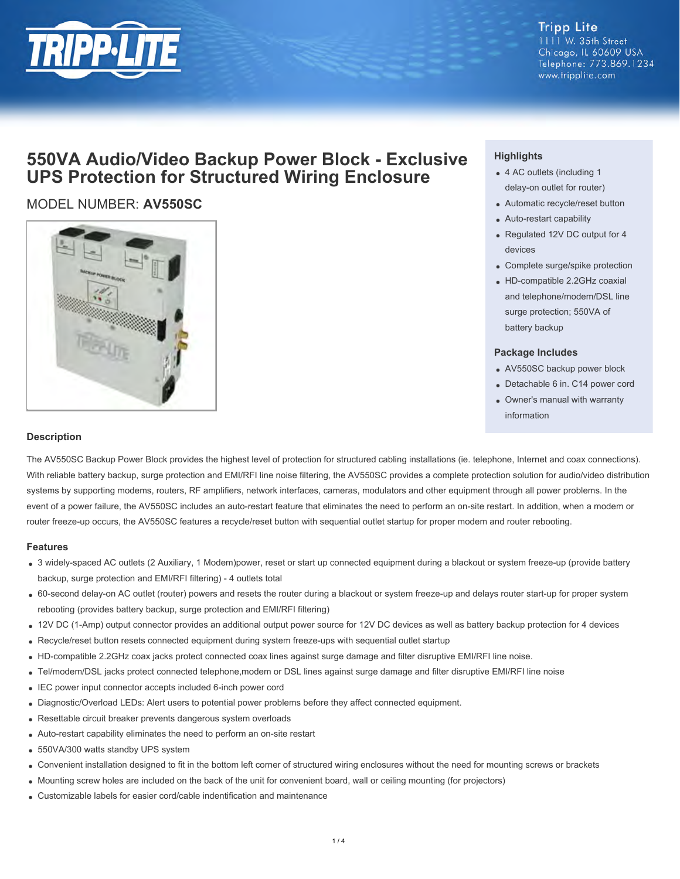

## **Tripp Lite**

1111 W. 35th Street Chicago, IL 60609 USA Telephone: 773.869.1234 www.tripplite.com

# **550VA Audio/Video Backup Power Block - Exclusive UPS Protection for Structured Wiring Enclosure**

## MODEL NUMBER: **AV550SC**



### **Highlights**

- 4 AC outlets (including 1 delay-on outlet for router)
- Automatic recycle/reset button
- Auto-restart capability
- Regulated 12V DC output for 4 devices
- Complete surge/spike protection
- HD-compatible 2.2GHz coaxial and telephone/modem/DSL line surge protection; 550VA of battery backup

#### **Package Includes**

- AV550SC backup power block
- Detachable 6 in. C14 power cord
- Owner's manual with warranty information

#### **Description**

The AV550SC Backup Power Block provides the highest level of protection for structured cabling installations (ie. telephone, Internet and coax connections). With reliable battery backup, surge protection and EMI/RFI line noise filtering, the AV550SC provides a complete protection solution for audio/video distribution systems by supporting modems, routers, RF amplifiers, network interfaces, cameras, modulators and other equipment through all power problems. In the event of a power failure, the AV550SC includes an auto-restart feature that eliminates the need to perform an on-site restart. In addition, when a modem or router freeze-up occurs, the AV550SC features a recycle/reset button with sequential outlet startup for proper modem and router rebooting.

#### **Features**

- 3 widely-spaced AC outlets (2 Auxiliary, 1 Modem)power, reset or start up connected equipment during a blackout or system freeze-up (provide battery backup, surge protection and EMI/RFI filtering) - 4 outlets total
- 60-second delay-on AC outlet (router) powers and resets the router during a blackout or system freeze-up and delays router start-up for proper system rebooting (provides battery backup, surge protection and EMI/RFI filtering)
- 12V DC (1-Amp) output connector provides an additional output power source for 12V DC devices as well as battery backup protection for 4 devices
- Recycle/reset button resets connected equipment during system freeze-ups with sequential outlet startup
- HD-compatible 2.2GHz coax jacks protect connected coax lines against surge damage and filter disruptive EMI/RFI line noise.
- Tel/modem/DSL jacks protect connected telephone,modem or DSL lines against surge damage and filter disruptive EMI/RFI line noise
- IEC power input connector accepts included 6-inch power cord
- Diagnostic/Overload LEDs: Alert users to potential power problems before they affect connected equipment.
- Resettable circuit breaker prevents dangerous system overloads
- Auto-restart capability eliminates the need to perform an on-site restart
- 550VA/300 watts standby UPS system
- Convenient installation designed to fit in the bottom left corner of structured wiring enclosures without the need for mounting screws or brackets
- Mounting screw holes are included on the back of the unit for convenient board, wall or ceiling mounting (for projectors)
- Customizable labels for easier cord/cable indentification and maintenance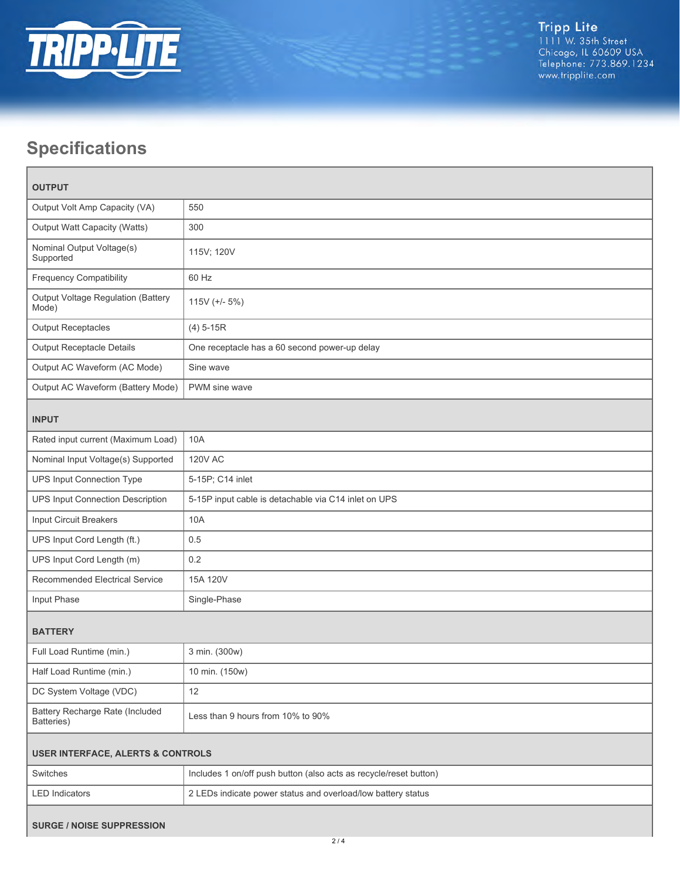

# **Specifications**

| <b>OUTPUT</b>                                 |                                                                   |  |
|-----------------------------------------------|-------------------------------------------------------------------|--|
| Output Volt Amp Capacity (VA)                 | 550                                                               |  |
| Output Watt Capacity (Watts)                  | 300                                                               |  |
| Nominal Output Voltage(s)<br>Supported        | 115V; 120V                                                        |  |
| <b>Frequency Compatibility</b>                | 60 Hz                                                             |  |
| Output Voltage Regulation (Battery<br>Mode)   | $115V$ (+/- $5\%$ )                                               |  |
| <b>Output Receptacles</b>                     | $(4) 5-15R$                                                       |  |
| Output Receptacle Details                     | One receptacle has a 60 second power-up delay                     |  |
| Output AC Waveform (AC Mode)                  | Sine wave                                                         |  |
| Output AC Waveform (Battery Mode)             | PWM sine wave                                                     |  |
| <b>INPUT</b>                                  |                                                                   |  |
| Rated input current (Maximum Load)            | <b>10A</b>                                                        |  |
| Nominal Input Voltage(s) Supported            | <b>120V AC</b>                                                    |  |
| UPS Input Connection Type                     | 5-15P; C14 inlet                                                  |  |
| UPS Input Connection Description              | 5-15P input cable is detachable via C14 inlet on UPS              |  |
| Input Circuit Breakers                        | 10A                                                               |  |
| UPS Input Cord Length (ft.)                   | 0.5                                                               |  |
| UPS Input Cord Length (m)                     | 0.2                                                               |  |
| <b>Recommended Electrical Service</b>         | 15A 120V                                                          |  |
| Input Phase                                   | Single-Phase                                                      |  |
| <b>BATTERY</b>                                |                                                                   |  |
| Full Load Runtime (min.)                      | 3 min. (300w)                                                     |  |
| Half Load Runtime (min.)                      | 10 min. (150w)                                                    |  |
| DC System Voltage (VDC)                       | 12                                                                |  |
| Battery Recharge Rate (Included<br>Batteries) | Less than 9 hours from 10% to 90%                                 |  |
| <b>USER INTERFACE, ALERTS &amp; CONTROLS</b>  |                                                                   |  |
| Switches                                      | Includes 1 on/off push button (also acts as recycle/reset button) |  |
| <b>LED Indicators</b>                         | 2 LEDs indicate power status and overload/low battery status      |  |
| <b>SURGE / NOISE SUPPRESSION</b>              |                                                                   |  |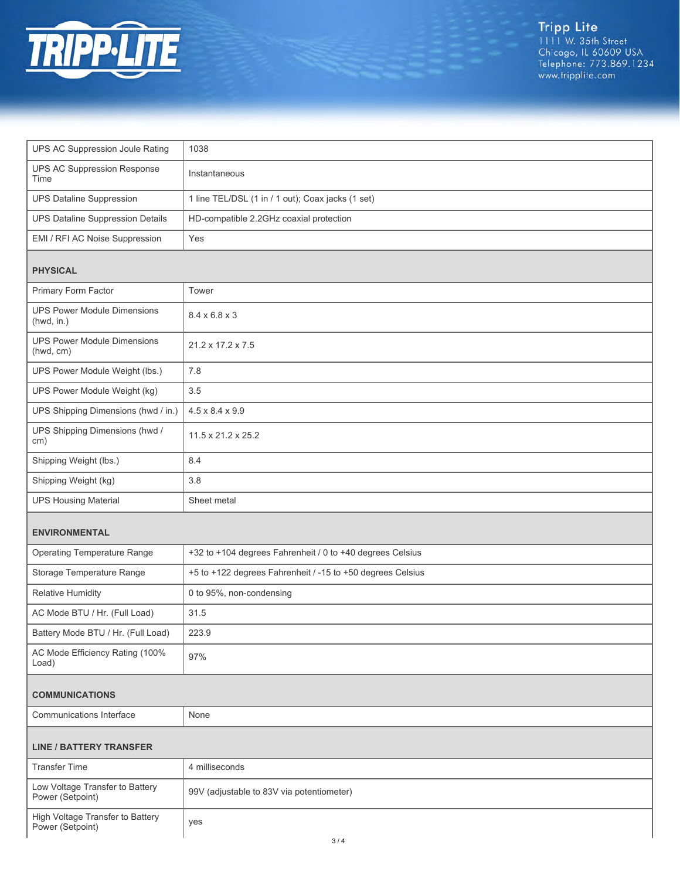

Tripp Lite<br>1111 W. 35th Street<br>Chicago, IL 60609 USA<br>Telephone: 773.869.1234<br>www.tripplite.com

| UPS AC Suppression Joule Rating                     | 1038                                                       |  |
|-----------------------------------------------------|------------------------------------------------------------|--|
| <b>UPS AC Suppression Response</b><br>Time          | Instantaneous                                              |  |
| <b>UPS Dataline Suppression</b>                     | 1 line TEL/DSL (1 in / 1 out); Coax jacks (1 set)          |  |
| <b>UPS Dataline Suppression Details</b>             | HD-compatible 2.2GHz coaxial protection                    |  |
| EMI / RFI AC Noise Suppression                      | Yes                                                        |  |
| <b>PHYSICAL</b>                                     |                                                            |  |
| Primary Form Factor                                 | Tower                                                      |  |
| <b>UPS Power Module Dimensions</b><br>(hwd, in.)    | $8.4 \times 6.8 \times 3$                                  |  |
| <b>UPS Power Module Dimensions</b><br>(hwd, cm)     | 21.2 x 17.2 x 7.5                                          |  |
| UPS Power Module Weight (lbs.)                      | 7.8                                                        |  |
| UPS Power Module Weight (kg)                        | 3.5                                                        |  |
| UPS Shipping Dimensions (hwd / in.)                 | $4.5 \times 8.4 \times 9.9$                                |  |
| UPS Shipping Dimensions (hwd /<br>cm)               | $11.5 \times 21.2 \times 25.2$                             |  |
| Shipping Weight (lbs.)                              | 8.4                                                        |  |
| Shipping Weight (kg)                                | 3.8                                                        |  |
|                                                     |                                                            |  |
| <b>UPS Housing Material</b>                         | Sheet metal                                                |  |
| <b>ENVIRONMENTAL</b>                                |                                                            |  |
| <b>Operating Temperature Range</b>                  | +32 to +104 degrees Fahrenheit / 0 to +40 degrees Celsius  |  |
| Storage Temperature Range                           | +5 to +122 degrees Fahrenheit / -15 to +50 degrees Celsius |  |
| <b>Relative Humidity</b>                            | 0 to 95%, non-condensing                                   |  |
| AC Mode BTU / Hr. (Full Load)                       | 31.5                                                       |  |
| Battery Mode BTU / Hr. (Full Load)                  | 223.9                                                      |  |
| AC Mode Efficiency Rating (100%<br>Load)            | 97%                                                        |  |
| <b>COMMUNICATIONS</b>                               |                                                            |  |
| <b>Communications Interface</b>                     | None                                                       |  |
| <b>LINE / BATTERY TRANSFER</b>                      |                                                            |  |
| <b>Transfer Time</b>                                | 4 milliseconds                                             |  |
| Low Voltage Transfer to Battery<br>Power (Setpoint) | 99V (adjustable to 83V via potentiometer)                  |  |